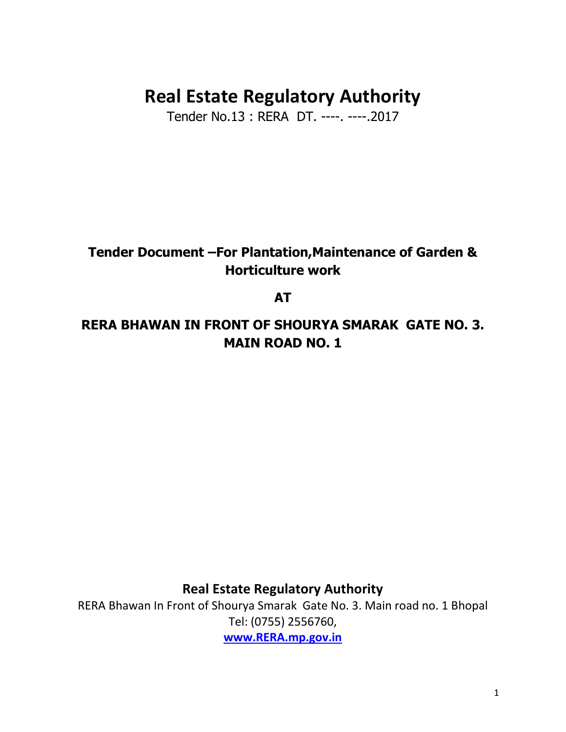# **Real Estate Regulatory Authority**

Tender No.13 : RERA DT. ----. ----.2017

# **Tender Document –For Plantation,Maintenance of Garden & Horticulture work**

## **AT**

# **RERA BHAWAN IN FRONT OF SHOURYA SMARAK GATE NO. 3. MAIN ROAD NO. 1**

**Real Estate Regulatory Authority** 

RERA Bhawan In Front of Shourya Smarak Gate No. 3. Main road no. 1 Bhopal Tel: (0755) 2556760, **[www.RERA.mp.gov.i](http://www.mpsedc.com/)n**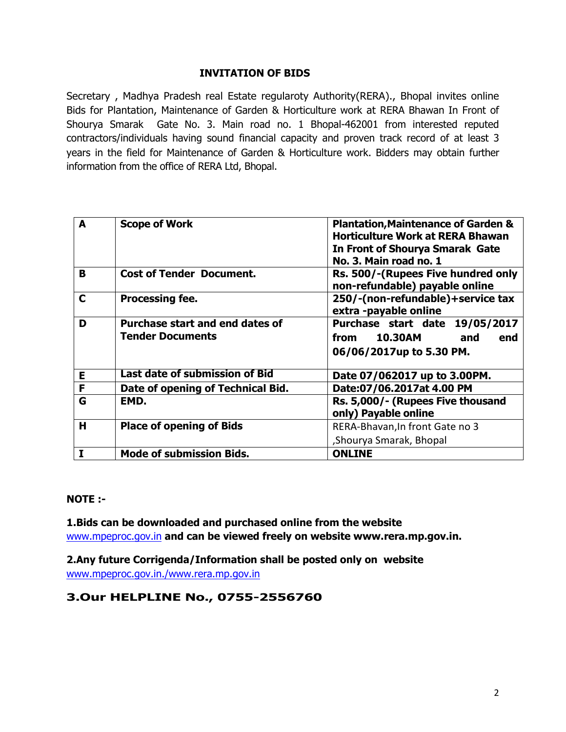#### **INVITATION OF BIDS**

Secretary , Madhya Pradesh real Estate regularoty Authority(RERA)., Bhopal invites online Bids for Plantation, Maintenance of Garden & Horticulture work at RERA Bhawan In Front of Shourya Smarak Gate No. 3. Main road no. 1 Bhopal-462001 from interested reputed contractors/individuals having sound financial capacity and proven track record of at least 3 years in the field for Maintenance of Garden & Horticulture work. Bidders may obtain further information from the office of RERA Ltd, Bhopal.

| A | <b>Scope of Work</b>                                       | <b>Plantation, Maintenance of Garden &amp;</b><br><b>Horticulture Work at RERA Bhawan</b><br>In Front of Shourya Smarak Gate<br>No. 3. Main road no. 1 |  |  |
|---|------------------------------------------------------------|--------------------------------------------------------------------------------------------------------------------------------------------------------|--|--|
| B | <b>Cost of Tender Document.</b>                            | Rs. 500/-(Rupees Five hundred only<br>non-refundable) payable online                                                                                   |  |  |
| C | Processing fee.                                            | 250/-(non-refundable)+service tax<br>extra-payable online                                                                                              |  |  |
| D | Purchase start and end dates of<br><b>Tender Documents</b> | Purchase start date 19/05/2017<br>and<br>end<br>06/06/2017up to 5.30 PM.                                                                               |  |  |
| Е | Last date of submission of Bid                             | Date 07/062017 up to 3.00PM.                                                                                                                           |  |  |
| F | Date of opening of Technical Bid.                          | Date:07/06.2017at 4.00 PM                                                                                                                              |  |  |
| G | EMD.                                                       | Rs. 5,000/- (Rupees Five thousand<br>only) Payable online                                                                                              |  |  |
| н | <b>Place of opening of Bids</b>                            | RERA-Bhavan, In front Gate no 3<br>, Shourya Smarak, Bhopal                                                                                            |  |  |
|   | <b>Mode of submission Bids.</b>                            | <b>ONLINE</b>                                                                                                                                          |  |  |

#### **NOTE :-**

**1.Bids can be downloaded and purchased online from the website**  [www.mpeproc.gov.in](http://www.mpeproc.gov.in/) **and can be viewed freely on website www.rera.mp.gov.in.** 

**2.Any future Corrigenda/Information shall be posted only on website**  [www.mpeproc.gov.in./www.rera.mp.gov.in](http://www.mpeproc.gov.in./www.rera.mp.gov.in) 

### **3.Our HELPLINE No., 0755-2556760**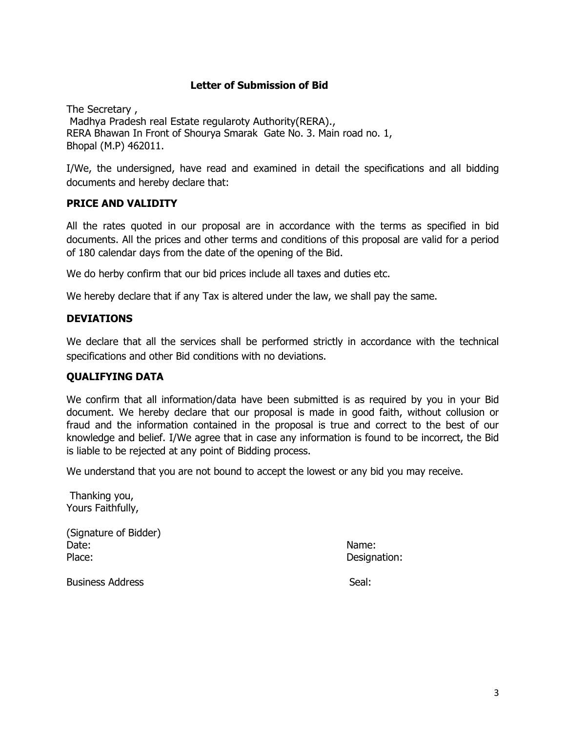#### **Letter of Submission of Bid**

The Secretary , Madhya Pradesh real Estate regularoty Authority(RERA)., RERA Bhawan In Front of Shourya Smarak Gate No. 3. Main road no. 1, Bhopal (M.P) 462011.

I/We, the undersigned, have read and examined in detail the specifications and all bidding documents and hereby declare that:

#### **PRICE AND VALIDITY**

All the rates quoted in our proposal are in accordance with the terms as specified in bid documents. All the prices and other terms and conditions of this proposal are valid for a period of 180 calendar days from the date of the opening of the Bid.

We do herby confirm that our bid prices include all taxes and duties etc.

We hereby declare that if any Tax is altered under the law, we shall pay the same.

#### **DEVIATIONS**

We declare that all the services shall be performed strictly in accordance with the technical specifications and other Bid conditions with no deviations.

#### **QUALIFYING DATA**

We confirm that all information/data have been submitted is as required by you in your Bid document. We hereby declare that our proposal is made in good faith, without collusion or fraud and the information contained in the proposal is true and correct to the best of our knowledge and belief. I/We agree that in case any information is found to be incorrect, the Bid is liable to be rejected at any point of Bidding process.

We understand that you are not bound to accept the lowest or any bid you may receive.

 Thanking you, Yours Faithfully,

(Signature of Bidder) Date: Name: Name: Name: Name: Name: Name: Name: Name: Name: Name: Name: Name: Name: Name: Name: Name: Name: Name: Name: Name: Name: Name: Name: Name: Name: Name: Name: Name: Name: Name: Name: Name: Name: Name: Name: Name: Place: Designation:

Business Address Seal: Seal: Seal: Seal: Seal: Seal: Seal: Seal: Seal: Seal: Seal: Seal: Seal: Seal: Seal: Seal: Seal: Seal: Seal: Seal: Seal: Seal: Seal: Seal: Seal: Seal: Seal: Seal: Seal: Seal: Seal: Seal: Seal: Seal: S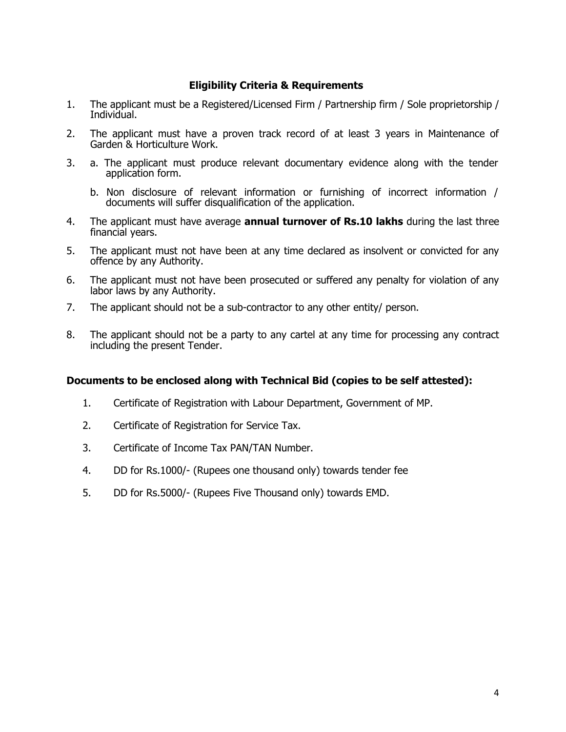#### **Eligibility Criteria & Requirements**

- 1. The applicant must be a Registered/Licensed Firm / Partnership firm / Sole proprietorship / Individual.
- 2. The applicant must have a proven track record of at least 3 years in Maintenance of Garden & Horticulture Work.
- 3. a. The applicant must produce relevant documentary evidence along with the tender application form.
	- b. Non disclosure of relevant information or furnishing of incorrect information / documents will suffer disqualification of the application.
- 4. The applicant must have average **annual turnover of Rs.10 lakhs** during the last three financial years.
- 5. The applicant must not have been at any time declared as insolvent or convicted for any offence by any Authority.
- 6. The applicant must not have been prosecuted or suffered any penalty for violation of any labor laws by any Authority.
- 7. The applicant should not be a sub-contractor to any other entity/ person.
- 8. The applicant should not be a party to any cartel at any time for processing any contract including the present Tender.

#### **Documents to be enclosed along with Technical Bid (copies to be self attested):**

- 1. Certificate of Registration with Labour Department, Government of MP.
- 2. Certificate of Registration for Service Tax.
- 3. Certificate of Income Tax PAN/TAN Number.
- 4. DD for Rs.1000/- (Rupees one thousand only) towards tender fee
- 5. DD for Rs.5000/- (Rupees Five Thousand only) towards EMD.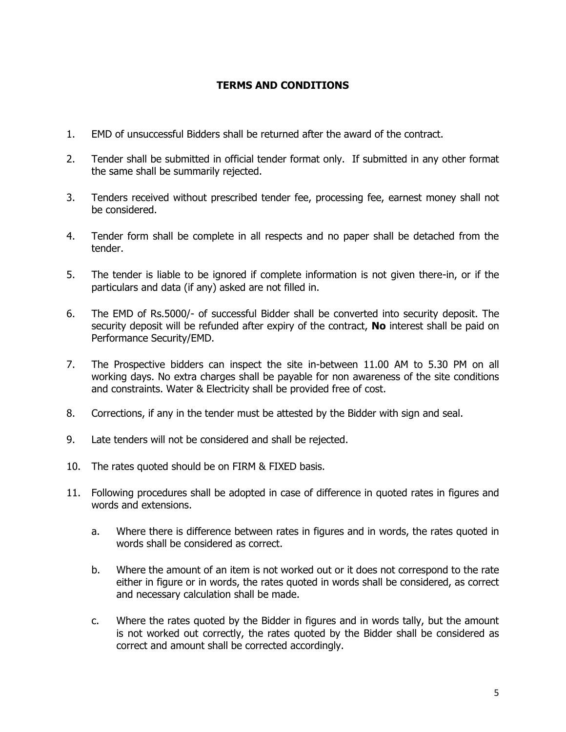#### **TERMS AND CONDITIONS**

- 1. EMD of unsuccessful Bidders shall be returned after the award of the contract.
- 2. Tender shall be submitted in official tender format only. If submitted in any other format the same shall be summarily rejected.
- 3. Tenders received without prescribed tender fee, processing fee, earnest money shall not be considered.
- 4. Tender form shall be complete in all respects and no paper shall be detached from the tender.
- 5. The tender is liable to be ignored if complete information is not given there-in, or if the particulars and data (if any) asked are not filled in.
- 6. The EMD of Rs.5000/- of successful Bidder shall be converted into security deposit. The security deposit will be refunded after expiry of the contract, **No** interest shall be paid on Performance Security/EMD.
- 7. The Prospective bidders can inspect the site in-between 11.00 AM to 5.30 PM on all working days. No extra charges shall be payable for non awareness of the site conditions and constraints. Water & Electricity shall be provided free of cost.
- 8. Corrections, if any in the tender must be attested by the Bidder with sign and seal.
- 9. Late tenders will not be considered and shall be rejected.
- 10. The rates quoted should be on FIRM & FIXED basis.
- 11. Following procedures shall be adopted in case of difference in quoted rates in figures and words and extensions.
	- a. Where there is difference between rates in figures and in words, the rates quoted in words shall be considered as correct.
	- b. Where the amount of an item is not worked out or it does not correspond to the rate either in figure or in words, the rates quoted in words shall be considered, as correct and necessary calculation shall be made.
	- c. Where the rates quoted by the Bidder in figures and in words tally, but the amount is not worked out correctly, the rates quoted by the Bidder shall be considered as correct and amount shall be corrected accordingly.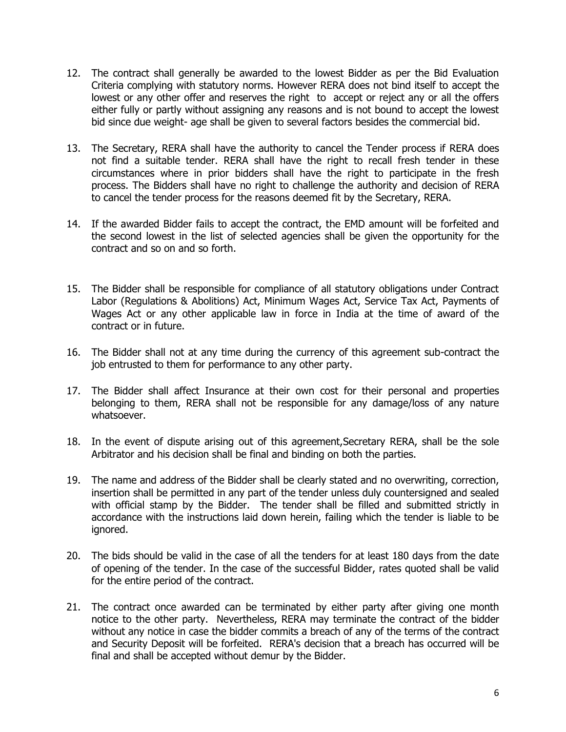- 12. The contract shall generally be awarded to the lowest Bidder as per the Bid Evaluation Criteria complying with statutory norms. However RERA does not bind itself to accept the lowest or any other offer and reserves the right to accept or reject any or all the offers either fully or partly without assigning any reasons and is not bound to accept the lowest bid since due weight- age shall be given to several factors besides the commercial bid.
- 13. The Secretary, RERA shall have the authority to cancel the Tender process if RERA does not find a suitable tender. RERA shall have the right to recall fresh tender in these circumstances where in prior bidders shall have the right to participate in the fresh process. The Bidders shall have no right to challenge the authority and decision of RERA to cancel the tender process for the reasons deemed fit by the Secretary, RERA.
- 14. If the awarded Bidder fails to accept the contract, the EMD amount will be forfeited and the second lowest in the list of selected agencies shall be given the opportunity for the contract and so on and so forth.
- 15. The Bidder shall be responsible for compliance of all statutory obligations under Contract Labor (Regulations & Abolitions) Act, Minimum Wages Act, Service Tax Act, Payments of Wages Act or any other applicable law in force in India at the time of award of the contract or in future.
- 16. The Bidder shall not at any time during the currency of this agreement sub-contract the job entrusted to them for performance to any other party.
- 17. The Bidder shall affect Insurance at their own cost for their personal and properties belonging to them, RERA shall not be responsible for any damage/loss of any nature whatsoever.
- 18. In the event of dispute arising out of this agreement,Secretary RERA, shall be the sole Arbitrator and his decision shall be final and binding on both the parties.
- 19. The name and address of the Bidder shall be clearly stated and no overwriting, correction, insertion shall be permitted in any part of the tender unless duly countersigned and sealed with official stamp by the Bidder. The tender shall be filled and submitted strictly in accordance with the instructions laid down herein, failing which the tender is liable to be ignored.
- 20. The bids should be valid in the case of all the tenders for at least 180 days from the date of opening of the tender. In the case of the successful Bidder, rates quoted shall be valid for the entire period of the contract.
- 21. The contract once awarded can be terminated by either party after giving one month notice to the other party. Nevertheless, RERA may terminate the contract of the bidder without any notice in case the bidder commits a breach of any of the terms of the contract and Security Deposit will be forfeited. RERA's decision that a breach has occurred will be final and shall be accepted without demur by the Bidder.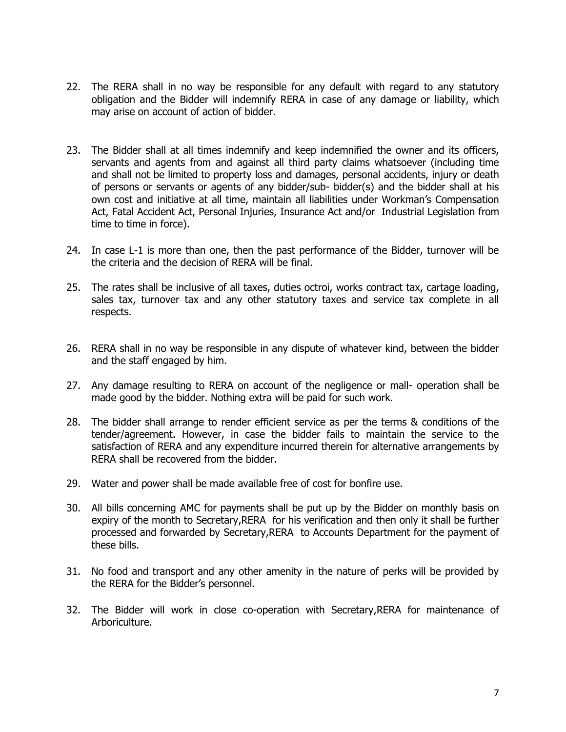- 22. The RERA shall in no way be responsible for any default with regard to any statutory obligation and the Bidder will indemnify RERA in case of any damage or liability, which may arise on account of action of bidder.
- 23. The Bidder shall at all times indemnify and keep indemnified the owner and its officers, servants and agents from and against all third party claims whatsoever (including time and shall not be limited to property loss and damages, personal accidents, injury or death of persons or servants or agents of any bidder/sub- bidder(s) and the bidder shall at his own cost and initiative at all time, maintain all liabilities under Workman's Compensation Act, Fatal Accident Act, Personal Injuries, Insurance Act and/or Industrial Legislation from time to time in force).
- 24. In case L-1 is more than one, then the past performance of the Bidder, turnover will be the criteria and the decision of RERA will be final.
- 25. The rates shall be inclusive of all taxes, duties octroi, works contract tax, cartage loading, sales tax, turnover tax and any other statutory taxes and service tax complete in all respects.
- 26. RERA shall in no way be responsible in any dispute of whatever kind, between the bidder and the staff engaged by him.
- 27. Any damage resulting to RERA on account of the negligence or mall- operation shall be made good by the bidder. Nothing extra will be paid for such work.
- 28. The bidder shall arrange to render efficient service as per the terms & conditions of the tender/agreement. However, in case the bidder fails to maintain the service to the satisfaction of RERA and any expenditure incurred therein for alternative arrangements by RERA shall be recovered from the bidder.
- 29. Water and power shall be made available free of cost for bonfire use.
- 30. All bills concerning AMC for payments shall be put up by the Bidder on monthly basis on expiry of the month to Secretary,RERA for his verification and then only it shall be further processed and forwarded by Secretary,RERA to Accounts Department for the payment of these bills.
- 31. No food and transport and any other amenity in the nature of perks will be provided by the RERA for the Bidder's personnel.
- 32. The Bidder will work in close co-operation with Secretary,RERA for maintenance of Arboriculture.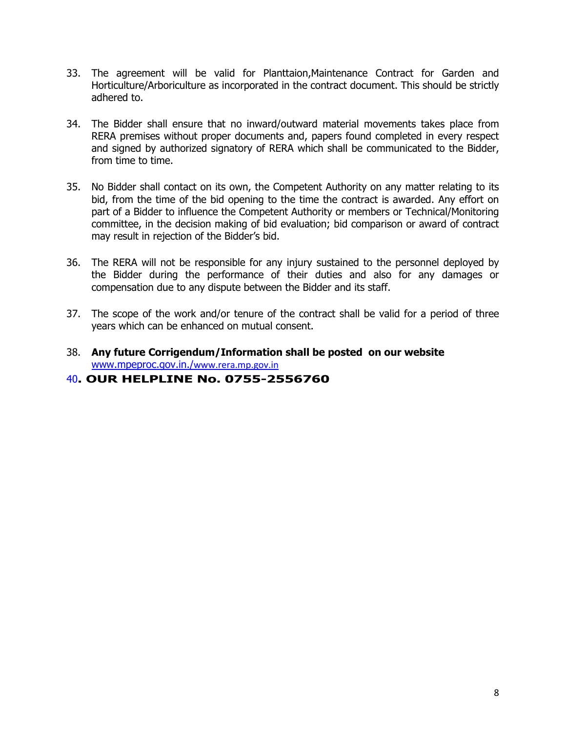- 33. The agreement will be valid for Planttaion,Maintenance Contract for Garden and Horticulture/Arboriculture as incorporated in the contract document. This should be strictly adhered to.
- 34. The Bidder shall ensure that no inward/outward material movements takes place from RERA premises without proper documents and, papers found completed in every respect and signed by authorized signatory of RERA which shall be communicated to the Bidder, from time to time.
- 35. No Bidder shall contact on its own, the Competent Authority on any matter relating to its bid, from the time of the bid opening to the time the contract is awarded. Any effort on part of a Bidder to influence the Competent Authority or members or Technical/Monitoring committee, in the decision making of bid evaluation; bid comparison or award of contract may result in rejection of the Bidder's bid.
- 36. The RERA will not be responsible for any injury sustained to the personnel deployed by the Bidder during the performance of their duties and also for any damages or compensation due to any dispute between the Bidder and its staff.
- 37. The scope of the work and/or tenure of the contract shall be valid for a period of three years which can be enhanced on mutual consent.
- 38. **Any future Corrigendum/Information shall be posted on our website**  [www.mpeproc.gov.in./](http://www.mpeproc.gov.in./www.rera.mp.gov.in)www.rera.mp.gov.in

#### 40**. OUR HELPLINE No. 0755-2556760**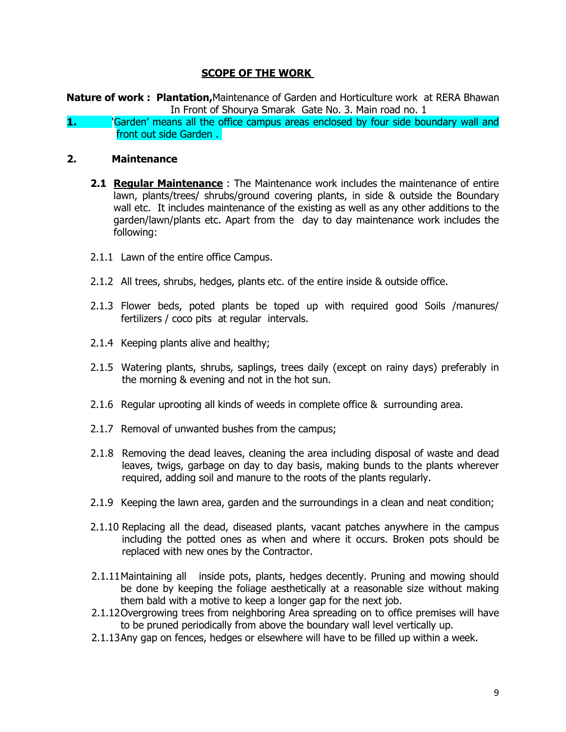#### **SCOPE OF THE WORK**

**Nature of work : Plantation,**Maintenance of Garden and Horticulture work at RERA Bhawan In Front of Shourya Smarak Gate No. 3. Main road no. 1

**1.** 'Garden' means all the office campus areas enclosed by four side boundary wall and front out side Garden .

#### **2. Maintenance**

- **2.1 Regular Maintenance** : The Maintenance work includes the maintenance of entire lawn, plants/trees/ shrubs/ground covering plants, in side & outside the Boundary wall etc. It includes maintenance of the existing as well as any other additions to the garden/lawn/plants etc. Apart from the day to day maintenance work includes the following:
- 2.1.1 Lawn of the entire office Campus.
- 2.1.2 All trees, shrubs, hedges, plants etc. of the entire inside & outside office.
- 2.1.3 Flower beds, poted plants be toped up with required good Soils /manures/ fertilizers / coco pits at regular intervals.
- 2.1.4 Keeping plants alive and healthy;
- 2.1.5 Watering plants, shrubs, saplings, trees daily (except on rainy days) preferably in the morning & evening and not in the hot sun.
- 2.1.6 Regular uprooting all kinds of weeds in complete office & surrounding area.
- 2.1.7 Removal of unwanted bushes from the campus;
- 2.1.8 Removing the dead leaves, cleaning the area including disposal of waste and dead leaves, twigs, garbage on day to day basis, making bunds to the plants wherever required, adding soil and manure to the roots of the plants regularly.
- 2.1.9 Keeping the lawn area, garden and the surroundings in a clean and neat condition;
- 2.1.10 Replacing all the dead, diseased plants, vacant patches anywhere in the campus including the potted ones as when and where it occurs. Broken pots should be replaced with new ones by the Contractor.
- 2.1.11Maintaining all inside pots, plants, hedges decently. Pruning and mowing should be done by keeping the foliage aesthetically at a reasonable size without making them bald with a motive to keep a longer gap for the next job.
- 2.1.12Overgrowing trees from neighboring Area spreading on to office premises will have to be pruned periodically from above the boundary wall level vertically up.
- 2.1.13Any gap on fences, hedges or elsewhere will have to be filled up within a week.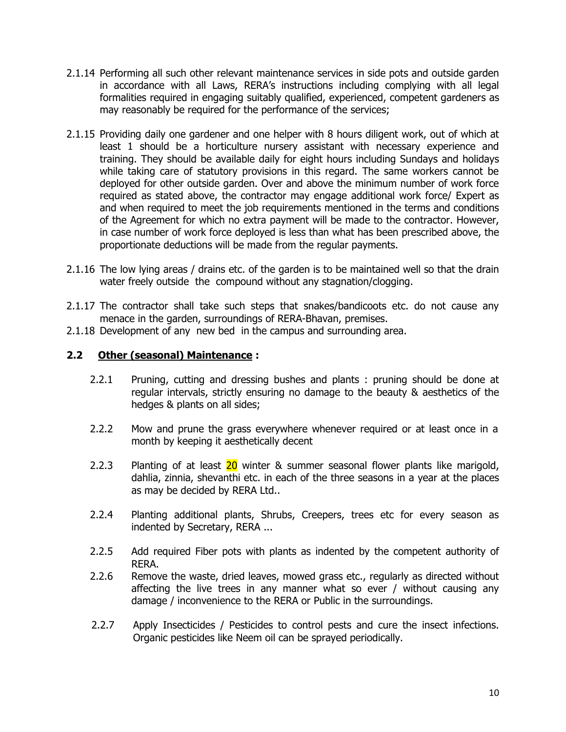- 2.1.14 Performing all such other relevant maintenance services in side pots and outside garden in accordance with all Laws, RERA's instructions including complying with all legal formalities required in engaging suitably qualified, experienced, competent gardeners as may reasonably be required for the performance of the services;
- 2.1.15 Providing daily one gardener and one helper with 8 hours diligent work, out of which at least 1 should be a horticulture nursery assistant with necessary experience and training. They should be available daily for eight hours including Sundays and holidays while taking care of statutory provisions in this regard. The same workers cannot be deployed for other outside garden. Over and above the minimum number of work force required as stated above, the contractor may engage additional work force/ Expert as and when required to meet the job requirements mentioned in the terms and conditions of the Agreement for which no extra payment will be made to the contractor. However, in case number of work force deployed is less than what has been prescribed above, the proportionate deductions will be made from the regular payments.
- 2.1.16 The low lying areas / drains etc. of the garden is to be maintained well so that the drain water freely outside the compound without any stagnation/clogging.
- 2.1.17 The contractor shall take such steps that snakes/bandicoots etc. do not cause any menace in the garden, surroundings of RERA-Bhavan, premises.
- 2.1.18 Development of any new bed in the campus and surrounding area.

#### **2.2 Other (seasonal) Maintenance :**

- 2.2.1 Pruning, cutting and dressing bushes and plants : pruning should be done at regular intervals, strictly ensuring no damage to the beauty & aesthetics of the hedges & plants on all sides;
- 2.2.2 Mow and prune the grass everywhere whenever required or at least once in a month by keeping it aesthetically decent
- 2.2.3 Planting of at least 20 winter & summer seasonal flower plants like marigold, dahlia, zinnia, shevanthi etc. in each of the three seasons in a year at the places as may be decided by RERA Ltd..
- 2.2.4 Planting additional plants, Shrubs, Creepers, trees etc for every season as indented by Secretary, RERA ...
- 2.2.5 Add required Fiber pots with plants as indented by the competent authority of RERA.
- 2.2.6 Remove the waste, dried leaves, mowed grass etc., regularly as directed without affecting the live trees in any manner what so ever / without causing any damage / inconvenience to the RERA or Public in the surroundings.
- 2.2.7 Apply Insecticides / Pesticides to control pests and cure the insect infections. Organic pesticides like Neem oil can be sprayed periodically.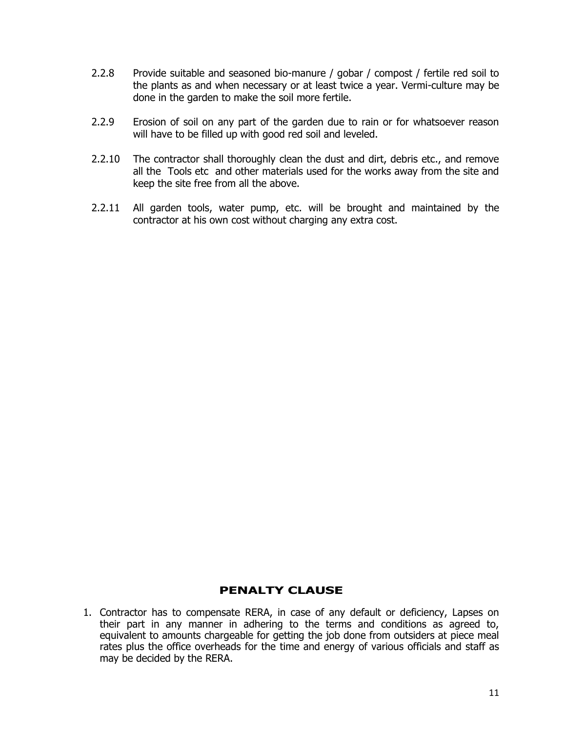- 2.2.8 Provide suitable and seasoned bio-manure / gobar / compost / fertile red soil to the plants as and when necessary or at least twice a year. Vermi-culture may be done in the garden to make the soil more fertile.
- 2.2.9 Erosion of soil on any part of the garden due to rain or for whatsoever reason will have to be filled up with good red soil and leveled.
- 2.2.10 The contractor shall thoroughly clean the dust and dirt, debris etc., and remove all the Tools etc and other materials used for the works away from the site and keep the site free from all the above.
- 2.2.11 All garden tools, water pump, etc. will be brought and maintained by the contractor at his own cost without charging any extra cost.

#### **PENALTY CLAUSE**

1. Contractor has to compensate RERA, in case of any default or deficiency, Lapses on their part in any manner in adhering to the terms and conditions as agreed to, equivalent to amounts chargeable for getting the job done from outsiders at piece meal rates plus the office overheads for the time and energy of various officials and staff as may be decided by the RERA.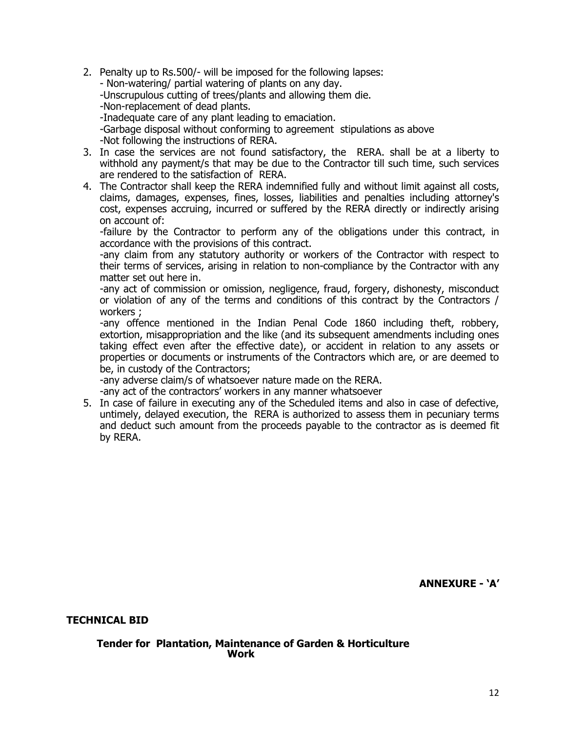2. Penalty up to Rs.500/- will be imposed for the following lapses:

- Non-watering/ partial watering of plants on any day.

-Unscrupulous cutting of trees/plants and allowing them die.

-Non-replacement of dead plants.

-Inadequate care of any plant leading to emaciation.

-Garbage disposal without conforming to agreement stipulations as above -Not following the instructions of RERA.

- 3. In case the services are not found satisfactory, the RERA. shall be at a liberty to withhold any payment/s that may be due to the Contractor till such time, such services are rendered to the satisfaction of RERA.
- 4. The Contractor shall keep the RERA indemnified fully and without limit against all costs, claims, damages, expenses, fines, losses, liabilities and penalties including attorney's cost, expenses accruing, incurred or suffered by the RERA directly or indirectly arising on account of:

-failure by the Contractor to perform any of the obligations under this contract, in accordance with the provisions of this contract.

-any claim from any statutory authority or workers of the Contractor with respect to their terms of services, arising in relation to non-compliance by the Contractor with any matter set out here in.

-any act of commission or omission, negligence, fraud, forgery, dishonesty, misconduct or violation of any of the terms and conditions of this contract by the Contractors / workers ;

-any offence mentioned in the Indian Penal Code 1860 including theft, robbery, extortion, misappropriation and the like (and its subsequent amendments including ones taking effect even after the effective date), or accident in relation to any assets or properties or documents or instruments of the Contractors which are, or are deemed to be, in custody of the Contractors;

-any adverse claim/s of whatsoever nature made on the RERA.

-any act of the contractors' workers in any manner whatsoever

5. In case of failure in executing any of the Scheduled items and also in case of defective, untimely, delayed execution, the RERA is authorized to assess them in pecuniary terms and deduct such amount from the proceeds payable to the contractor as is deemed fit by RERA.

**ANNEXURE - 'A'**

**TECHNICAL BID** 

**Tender for Plantation, Maintenance of Garden & Horticulture Work**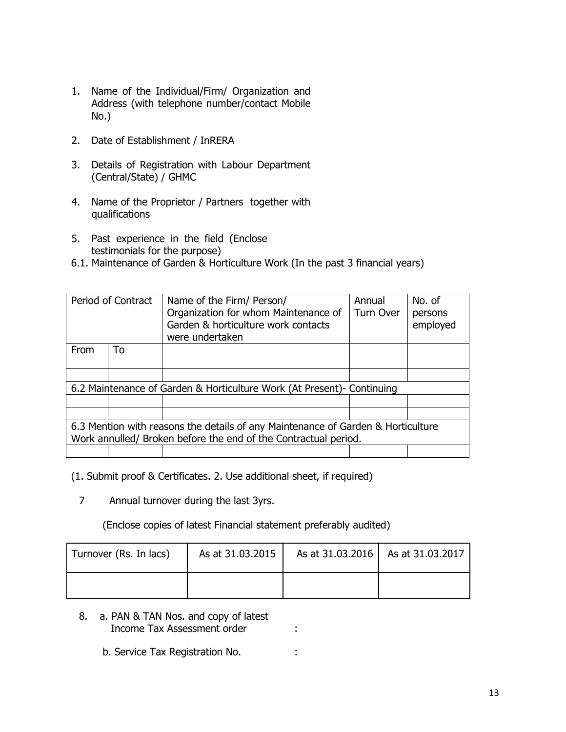- 1. Name of the Individual/Firm/ Organization and Address (with telephone number/contact Mobile No.)
- 2. Date of Establishment / InRERA
- 3. Details of Registration with Labour Department (Central/State) / GHMC
- 4. Name of the Proprietor / Partners together with qualifications
- 5. Past experience in the field (Enclose testimonials for the purpose)
- 6.1. Maintenance of Garden & Horticulture Work (In the past 3 financial years)

| Period of Contract                                                                                                                                  |    | Name of the Firm/ Person/<br>Organization for whom Maintenance of<br>Garden & horticulture work contacts<br>were undertaken | Annual<br>Turn Over | No. of<br>persons<br>employed |
|-----------------------------------------------------------------------------------------------------------------------------------------------------|----|-----------------------------------------------------------------------------------------------------------------------------|---------------------|-------------------------------|
| From                                                                                                                                                | To |                                                                                                                             |                     |                               |
|                                                                                                                                                     |    |                                                                                                                             |                     |                               |
|                                                                                                                                                     |    |                                                                                                                             |                     |                               |
| 6.2 Maintenance of Garden & Horticulture Work (At Present) - Continuing                                                                             |    |                                                                                                                             |                     |                               |
|                                                                                                                                                     |    |                                                                                                                             |                     |                               |
|                                                                                                                                                     |    |                                                                                                                             |                     |                               |
| 6.3 Mention with reasons the details of any Maintenance of Garden & Horticulture<br>Work annulled/ Broken before the end of the Contractual period. |    |                                                                                                                             |                     |                               |
|                                                                                                                                                     |    |                                                                                                                             |                     |                               |

(1. Submit proof & Certificates. 2. Use additional sheet, if required)

7 Annual turnover during the last 3yrs.

(Enclose copies of latest Financial statement preferably audited)

| Turnover (Rs. In lacs) | As at 31.03.2015 | As at 31.03.2016   As at 31.03.2017 |
|------------------------|------------------|-------------------------------------|
|                        |                  |                                     |

- 8. a. PAN & TAN Nos. and copy of latest Income Tax Assessment order :
	- b. Service Tax Registration No.  $\hspace{1.6cm}$ :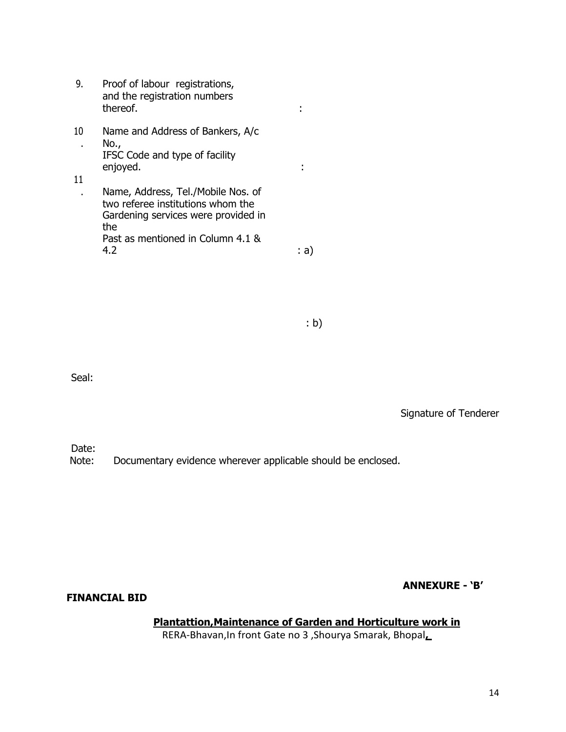**ANNEXURE - 'B'**

14

9. Proof of labour registrations, and the registration numbers thereof. **Example 20** is the contract of the contract of the contract of the contract of the contract of the contract of the contract of the contract of the contract of the contract of the contract of the contract of the c 10 . Name and Address of Bankers, A/c No., IFSC Code and type of facility enjoyed. The contract of the contract of the contract of the contract of the contract of the contract of the contract of the contract of the contract of the contract of the contract of the contract of the contract of the c 11 . Name, Address, Tel./Mobile Nos. of two referee institutions whom the Gardening services were provided in the

Past as mentioned in Column 4.1 &  $4.2$  : a)

: b)

Seal:

Signature of Tenderer

Date:

Note: Documentary evidence wherever applicable should be enclosed.

**FINANCIAL BID** 

**Plantattion,Maintenance of Garden and Horticulture work in**

RERA-Bhavan,In front Gate no 3 ,Shourya Smarak, Bhopal**,**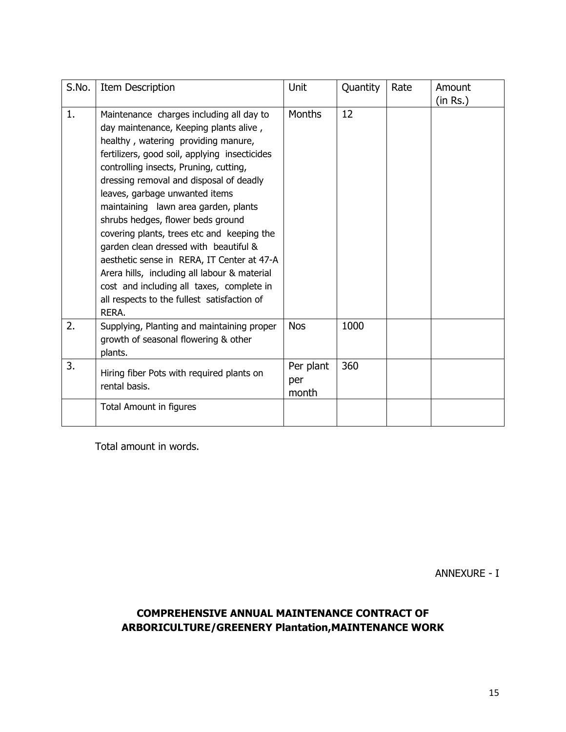| S.No. | Item Description                                                                                                                                                                                                                                                                                                                                                                                                                                                                                                                                                                                                                                                | Unit                      | Quantity | Rate | Amount   |
|-------|-----------------------------------------------------------------------------------------------------------------------------------------------------------------------------------------------------------------------------------------------------------------------------------------------------------------------------------------------------------------------------------------------------------------------------------------------------------------------------------------------------------------------------------------------------------------------------------------------------------------------------------------------------------------|---------------------------|----------|------|----------|
|       |                                                                                                                                                                                                                                                                                                                                                                                                                                                                                                                                                                                                                                                                 |                           |          |      | (in Rs.) |
| 1.    | Maintenance charges including all day to<br>day maintenance, Keeping plants alive,<br>healthy, watering providing manure,<br>fertilizers, good soil, applying insecticides<br>controlling insects, Pruning, cutting,<br>dressing removal and disposal of deadly<br>leaves, garbage unwanted items<br>maintaining lawn area garden, plants<br>shrubs hedges, flower beds ground<br>covering plants, trees etc and keeping the<br>garden clean dressed with beautiful &<br>aesthetic sense in RERA, IT Center at 47-A<br>Arera hills, including all labour & material<br>cost and including all taxes, complete in<br>all respects to the fullest satisfaction of | <b>Months</b>             | 12       |      |          |
|       | RERA.                                                                                                                                                                                                                                                                                                                                                                                                                                                                                                                                                                                                                                                           |                           |          |      |          |
| 2.    | Supplying, Planting and maintaining proper<br>growth of seasonal flowering & other<br>plants.                                                                                                                                                                                                                                                                                                                                                                                                                                                                                                                                                                   | <b>Nos</b>                | 1000     |      |          |
| 3.    | Hiring fiber Pots with required plants on<br>rental basis.                                                                                                                                                                                                                                                                                                                                                                                                                                                                                                                                                                                                      | Per plant<br>per<br>month | 360      |      |          |
|       | Total Amount in figures                                                                                                                                                                                                                                                                                                                                                                                                                                                                                                                                                                                                                                         |                           |          |      |          |

Total amount in words.

ANNEXURE - I

## **COMPREHENSIVE ANNUAL MAINTENANCE CONTRACT OF ARBORICULTURE/GREENERY Plantation,MAINTENANCE WORK**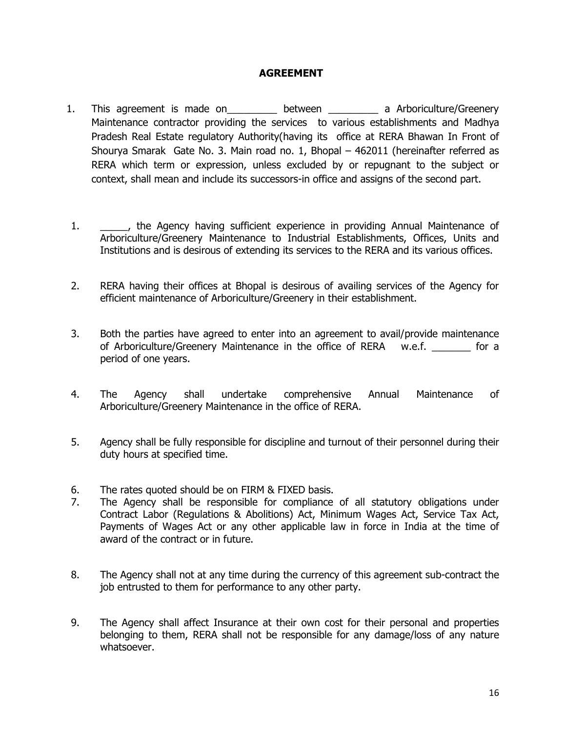#### **AGREEMENT**

- 1. This agreement is made on between a Arboriculture/Greenery Maintenance contractor providing the services to various establishments and Madhya Pradesh Real Estate regulatory Authority(having its office at RERA Bhawan In Front of Shourya Smarak Gate No. 3. Main road no. 1, Bhopal – 462011 (hereinafter referred as RERA which term or expression, unless excluded by or repugnant to the subject or context, shall mean and include its successors-in office and assigns of the second part.
- 1. The Agency having sufficient experience in providing Annual Maintenance of Arboriculture/Greenery Maintenance to Industrial Establishments, Offices, Units and Institutions and is desirous of extending its services to the RERA and its various offices.
- 2. RERA having their offices at Bhopal is desirous of availing services of the Agency for efficient maintenance of Arboriculture/Greenery in their establishment.
- 3. Both the parties have agreed to enter into an agreement to avail/provide maintenance of Arboriculture/Greenery Maintenance in the office of RERA w.e.f. **For a** period of one years.
- 4. The Agency shall undertake comprehensive Annual Maintenance of Arboriculture/Greenery Maintenance in the office of RERA.
- 5. Agency shall be fully responsible for discipline and turnout of their personnel during their duty hours at specified time.
- 6. The rates quoted should be on FIRM & FIXED basis.
- 7. The Agency shall be responsible for compliance of all statutory obligations under Contract Labor (Regulations & Abolitions) Act, Minimum Wages Act, Service Tax Act, Payments of Wages Act or any other applicable law in force in India at the time of award of the contract or in future.
- 8. The Agency shall not at any time during the currency of this agreement sub-contract the job entrusted to them for performance to any other party.
- 9. The Agency shall affect Insurance at their own cost for their personal and properties belonging to them, RERA shall not be responsible for any damage/loss of any nature whatsoever.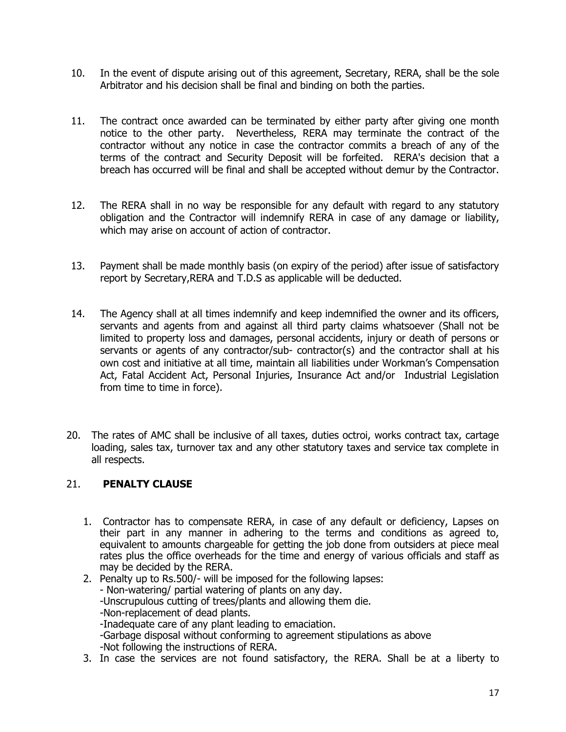- 10. In the event of dispute arising out of this agreement, Secretary, RERA, shall be the sole Arbitrator and his decision shall be final and binding on both the parties.
- 11. The contract once awarded can be terminated by either party after giving one month notice to the other party. Nevertheless, RERA may terminate the contract of the contractor without any notice in case the contractor commits a breach of any of the terms of the contract and Security Deposit will be forfeited. RERA's decision that a breach has occurred will be final and shall be accepted without demur by the Contractor.
- 12. The RERA shall in no way be responsible for any default with regard to any statutory obligation and the Contractor will indemnify RERA in case of any damage or liability, which may arise on account of action of contractor.
- 13. Payment shall be made monthly basis (on expiry of the period) after issue of satisfactory report by Secretary,RERA and T.D.S as applicable will be deducted.
- 14. The Agency shall at all times indemnify and keep indemnified the owner and its officers, servants and agents from and against all third party claims whatsoever (Shall not be limited to property loss and damages, personal accidents, injury or death of persons or servants or agents of any contractor/sub- contractor(s) and the contractor shall at his own cost and initiative at all time, maintain all liabilities under Workman's Compensation Act, Fatal Accident Act, Personal Injuries, Insurance Act and/or Industrial Legislation from time to time in force).
- 20. The rates of AMC shall be inclusive of all taxes, duties octroi, works contract tax, cartage loading, sales tax, turnover tax and any other statutory taxes and service tax complete in all respects.

#### 21. **PENALTY CLAUSE**

- 1. Contractor has to compensate RERA, in case of any default or deficiency, Lapses on their part in any manner in adhering to the terms and conditions as agreed to, equivalent to amounts chargeable for getting the job done from outsiders at piece meal rates plus the office overheads for the time and energy of various officials and staff as may be decided by the RERA.
- 2. Penalty up to Rs.500/- will be imposed for the following lapses: - Non-watering/ partial watering of plants on any day. -Unscrupulous cutting of trees/plants and allowing them die. -Non-replacement of dead plants. -Inadequate care of any plant leading to emaciation. -Garbage disposal without conforming to agreement stipulations as above -Not following the instructions of RERA.
- 3. In case the services are not found satisfactory, the RERA. Shall be at a liberty to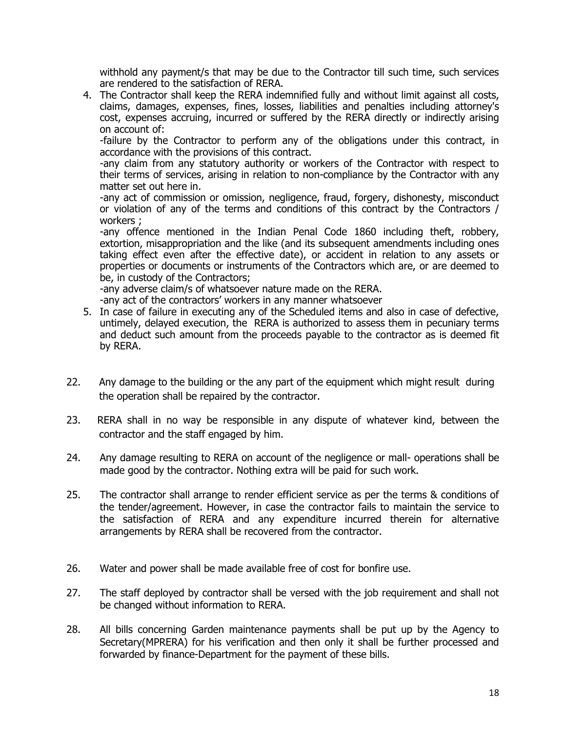withhold any payment/s that may be due to the Contractor till such time, such services are rendered to the satisfaction of RERA.

4. The Contractor shall keep the RERA indemnified fully and without limit against all costs, claims, damages, expenses, fines, losses, liabilities and penalties including attorney's cost, expenses accruing, incurred or suffered by the RERA directly or indirectly arising on account of:

-failure by the Contractor to perform any of the obligations under this contract, in accordance with the provisions of this contract.

-any claim from any statutory authority or workers of the Contractor with respect to their terms of services, arising in relation to non-compliance by the Contractor with any matter set out here in.

-any act of commission or omission, negligence, fraud, forgery, dishonesty, misconduct or violation of any of the terms and conditions of this contract by the Contractors / workers ;

-any offence mentioned in the Indian Penal Code 1860 including theft, robbery, extortion, misappropriation and the like (and its subsequent amendments including ones taking effect even after the effective date), or accident in relation to any assets or properties or documents or instruments of the Contractors which are, or are deemed to be, in custody of the Contractors;

-any adverse claim/s of whatsoever nature made on the RERA.

-any act of the contractors' workers in any manner whatsoever

- 5. In case of failure in executing any of the Scheduled items and also in case of defective, untimely, delayed execution, the RERA is authorized to assess them in pecuniary terms and deduct such amount from the proceeds payable to the contractor as is deemed fit by RERA.
- 22. Any damage to the building or the any part of the equipment which might result during the operation shall be repaired by the contractor.
- 23. RERA shall in no way be responsible in any dispute of whatever kind, between the contractor and the staff engaged by him.
- 24. Any damage resulting to RERA on account of the negligence or mall- operations shall be made good by the contractor. Nothing extra will be paid for such work.
- 25. The contractor shall arrange to render efficient service as per the terms & conditions of the tender/agreement. However, in case the contractor fails to maintain the service to the satisfaction of RERA and any expenditure incurred therein for alternative arrangements by RERA shall be recovered from the contractor.
- 26. Water and power shall be made available free of cost for bonfire use.
- 27. The staff deployed by contractor shall be versed with the job requirement and shall not be changed without information to RERA.
- 28. All bills concerning Garden maintenance payments shall be put up by the Agency to Secretary(MPRERA) for his verification and then only it shall be further processed and forwarded by finance-Department for the payment of these bills.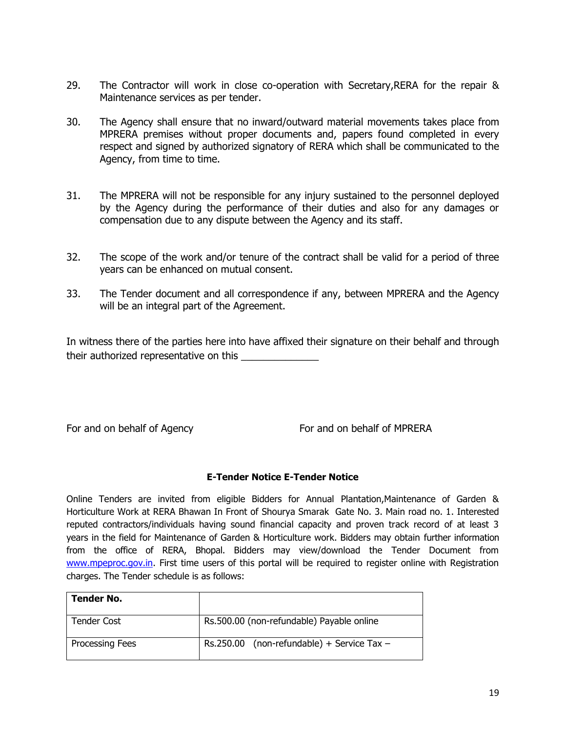- 29. The Contractor will work in close co-operation with Secretary,RERA for the repair & Maintenance services as per tender.
- 30. The Agency shall ensure that no inward/outward material movements takes place from MPRERA premises without proper documents and, papers found completed in every respect and signed by authorized signatory of RERA which shall be communicated to the Agency, from time to time.
- 31. The MPRERA will not be responsible for any injury sustained to the personnel deployed by the Agency during the performance of their duties and also for any damages or compensation due to any dispute between the Agency and its staff.
- 32. The scope of the work and/or tenure of the contract shall be valid for a period of three years can be enhanced on mutual consent.
- 33. The Tender document and all correspondence if any, between MPRERA and the Agency will be an integral part of the Agreement.

In witness there of the parties here into have affixed their signature on their behalf and through their authorized representative on this

For and on behalf of Agency For and on behalf of MPRERA

#### **E-Tender Notice E-Tender Notice**

Online Tenders are invited from eligible Bidders for Annual Plantation,Maintenance of Garden & Horticulture Work at RERA Bhawan In Front of Shourya Smarak Gate No. 3. Main road no. 1. Interested reputed contractors/individuals having sound financial capacity and proven track record of at least 3 years in the field for Maintenance of Garden & Horticulture work. Bidders may obtain further information from the office of RERA, Bhopal. Bidders may view/download the Tender Document from [www.mpeproc.gov.in.](http://www.mpeproc.gov.in/) First time users of this portal will be required to register online with Registration charges. The Tender schedule is as follows:

| <b>Tender No.</b>      |                                              |
|------------------------|----------------------------------------------|
| Tender Cost            | Rs.500.00 (non-refundable) Payable online    |
| <b>Processing Fees</b> | $Rs.250.00$ (non-refundable) + Service Tax - |